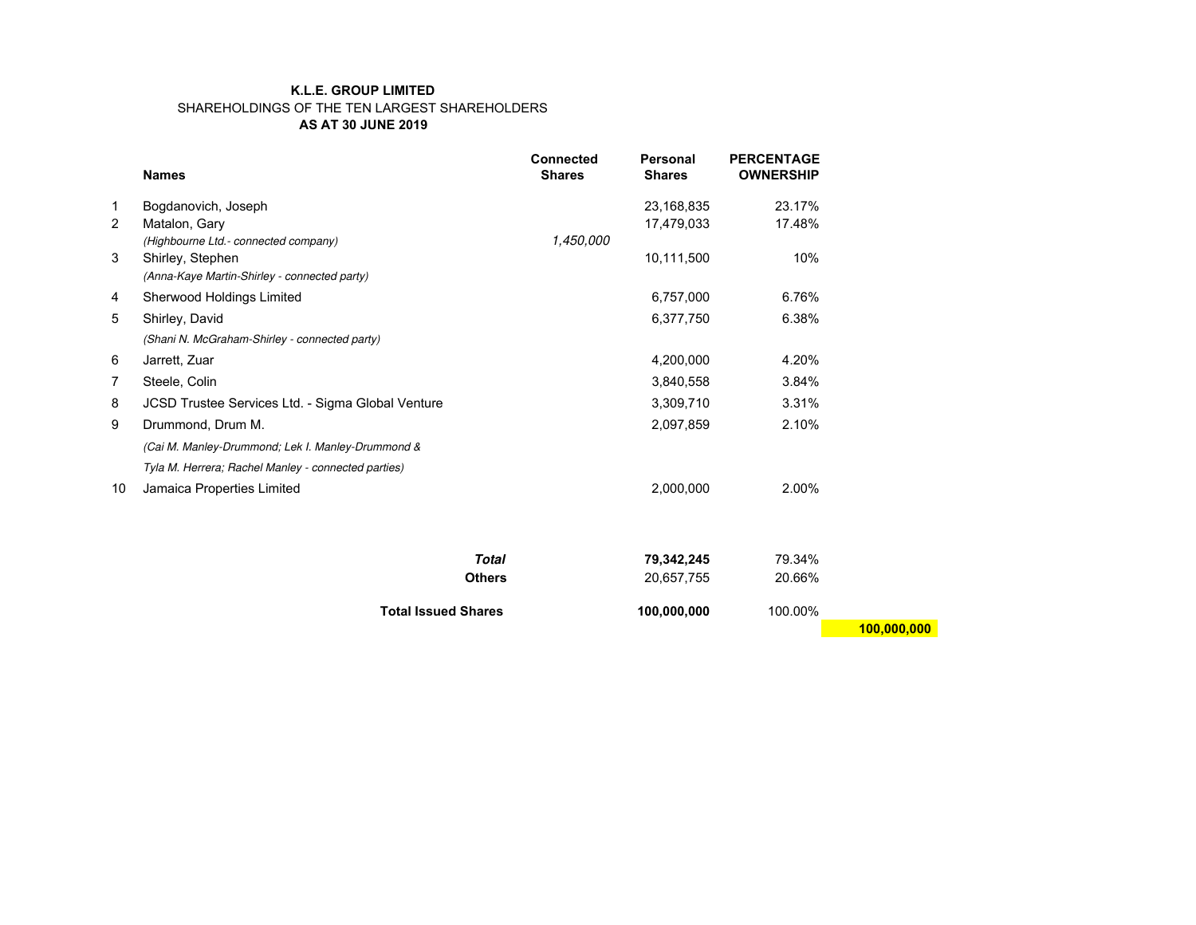## **K.L.E. GROUP LIMITED** SHAREHOLDINGS OF THE TEN LARGEST SHAREHOLDERS **AS AT 30 JUNE 2019**

|    | <b>Names</b>                                        | <b>Connected</b><br><b>Shares</b> | Personal<br><b>Shares</b> | <b>PERCENTAGE</b><br><b>OWNERSHIP</b> |
|----|-----------------------------------------------------|-----------------------------------|---------------------------|---------------------------------------|
| 1  | Bogdanovich, Joseph                                 |                                   | 23,168,835                | 23.17%                                |
| 2  | Matalon, Gary                                       |                                   | 17,479,033                | 17.48%                                |
|    | (Highbourne Ltd.- connected company)                | 1,450,000                         |                           |                                       |
| 3  | Shirley, Stephen                                    |                                   | 10,111,500                | 10%                                   |
|    | (Anna-Kaye Martin-Shirley - connected party)        |                                   |                           |                                       |
| 4  | Sherwood Holdings Limited                           |                                   | 6,757,000                 | 6.76%                                 |
| 5  | Shirley, David                                      |                                   | 6,377,750                 | 6.38%                                 |
|    | (Shani N. McGraham-Shirley - connected party)       |                                   |                           |                                       |
| 6  | Jarrett, Zuar                                       |                                   | 4,200,000                 | 4.20%                                 |
| 7  | Steele, Colin                                       |                                   | 3,840,558                 | 3.84%                                 |
| 8  | JCSD Trustee Services Ltd. - Sigma Global Venture   |                                   | 3,309,710                 | 3.31%                                 |
| 9  | Drummond, Drum M.                                   |                                   | 2,097,859                 | 2.10%                                 |
|    | (Cai M. Manley-Drummond; Lek I. Manley-Drummond &   |                                   |                           |                                       |
|    | Tyla M. Herrera; Rachel Manley - connected parties) |                                   |                           |                                       |
| 10 | Jamaica Properties Limited                          |                                   | 2,000,000                 | 2.00%                                 |
|    |                                                     |                                   |                           |                                       |
|    |                                                     | <b>Total</b>                      | 79,342,245                | 79.34%                                |
|    |                                                     | <b>Others</b>                     | 20,657,755                | 20.66%                                |
|    |                                                     |                                   |                           |                                       |

**Total Issued Shares 100,000,000** 100.00%

 **100,000,000**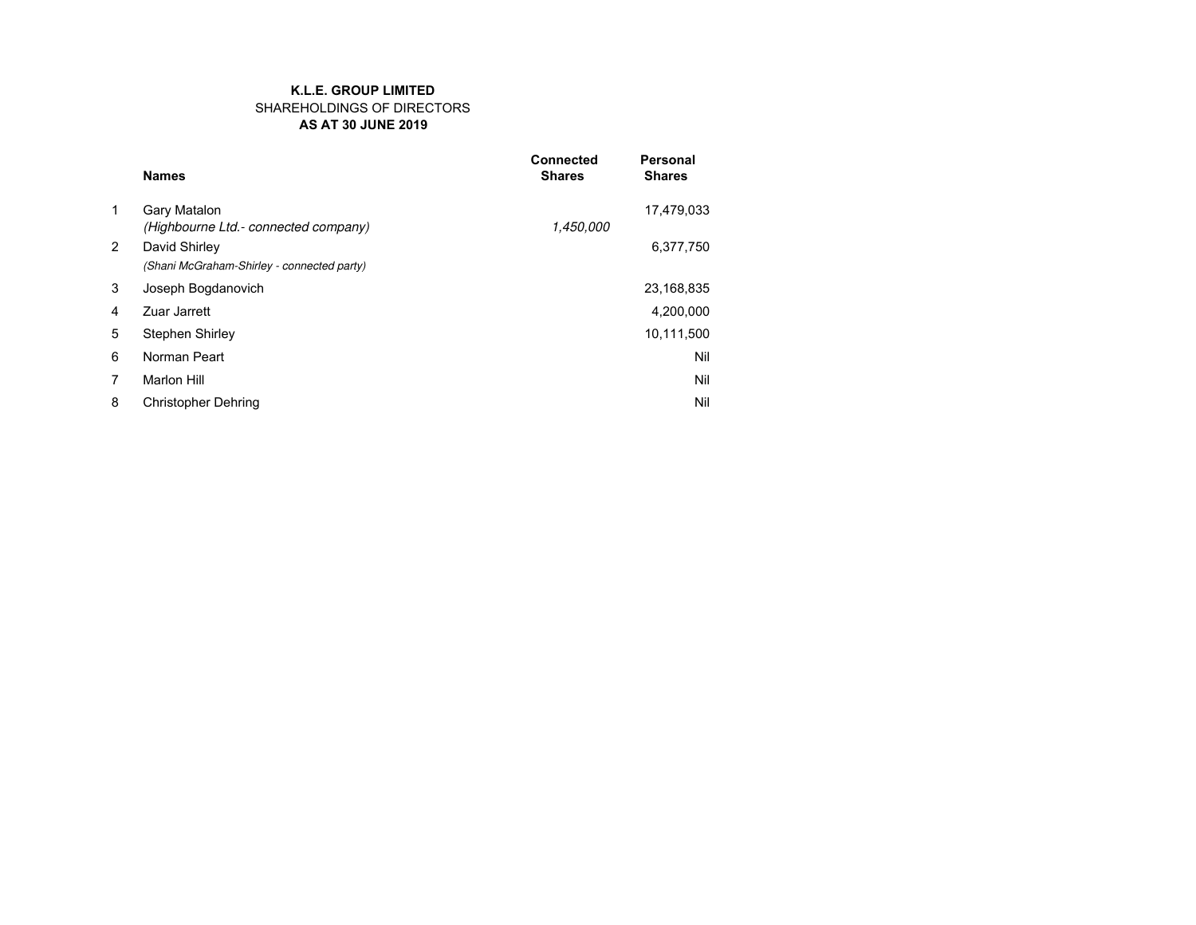#### **AS AT 30 JUNE 2019 K.L.E. GROUP LIMITED** SHAREHOLDINGS OF DIRECTORS

|   | <b>Names</b>                                                | <b>Connected</b><br><b>Shares</b> | <b>Personal</b><br><b>Shares</b> |
|---|-------------------------------------------------------------|-----------------------------------|----------------------------------|
| 1 | Gary Matalon<br>(Highbourne Ltd.- connected company)        | 1,450,000                         | 17,479,033                       |
| 2 | David Shirley<br>(Shani McGraham-Shirley - connected party) |                                   | 6,377,750                        |
| 3 | Joseph Bogdanovich                                          |                                   | 23,168,835                       |
| 4 | <b>Zuar Jarrett</b>                                         |                                   | 4,200,000                        |
| 5 | Stephen Shirley                                             |                                   | 10,111,500                       |
| 6 | Norman Peart                                                |                                   | Nil                              |
| 7 | <b>Marlon Hill</b>                                          |                                   | Nil                              |
| 8 | <b>Christopher Dehring</b>                                  |                                   | Nil                              |